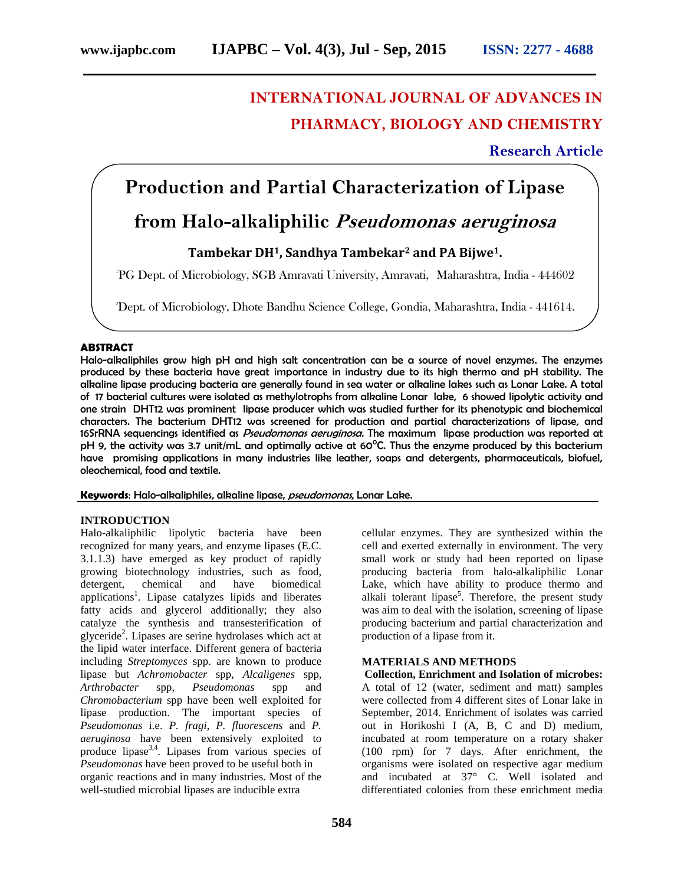# **INTERNATIONAL JOURNAL OF ADVANCES IN PHARMACY, BIOLOGY AND CHEMISTRY**

**Research Article**

## **Production and Partial Characterization of Lipase**

## **from Halo-alkaliphilic** *Pseudomonas aeruginosa*

### **Tambekar DH1, Sandhya Tambekar<sup>2</sup> and PA Bijwe1.**

<sup>1</sup>PG Dept. of Microbiology, SGB Amravati University, Amravati, Maharashtra, India - 444602

<sup>2</sup>Dept. of Microbiology, Dhote Bandhu Science College, Gondia, Maharashtra, India - 441614.

### **ABSTRACT**

Halo-alkaliphiles grow high pH and high salt concentration can be a source of novel enzymes. The enzymes produced by these bacteria have great importance in industry due to its high thermo and pH stability. The alkaline lipase producing bacteria are generally found in sea water or alkaline lakes such as Lonar Lake. A total of 17 bacterial cultures were isolated as methylotrophs from alkaline Lonar lake, 6 showed lipolytic activity and one strain DHT12 was prominent lipase producer which was studied further for its phenotypic and biochemical characters. The bacterium DHT12 was screened for production and partial characterizations of lipase, and 16SrRNA sequencings identified as *Pseudomonas aeruginosa.* The maximum lipase production was reported at pH 9, the activity was 3.7 unit/mL and optimally active at  $60^{\circ}$ C. Thus the enzyme produced by this bacterium have promising applications in many industries like leather, soaps and detergents, pharmaceuticals, biofuel, oleochemical, food and textile.

**Keywords**: Halo-alkaliphiles, alkaline lipase, *pseudomonas*, Lonar Lake.

### **INTRODUCTION**

Halo-alkaliphilic lipolytic bacteria have been recognized for many years, and enzyme lipases (E.C. 3.1.1.3) have emerged as key product of rapidly growing biotechnology industries, such as food, detergent, chemical and have biomedical applications 1 . Lipase catalyzes lipids and liberates fatty acids and glycerol additionally; they also catalyze the synthesis and transesterification of glyceride<sup>2</sup>. Lipases are serine hydrolases which act at the lipid water interface. Different genera of bacteria including *Streptomyces* spp. are known to produce lipase but *Achromobacter* spp, *Alcaligenes* spp, *Arthrobacter* spp, *Pseudomonas* spp and *Chromobacterium* spp have been well exploited for lipase production. The important species of *Pseudomonas* i.e. *P. fragi*, *P. fluorescens* and *P. aeruginosa* have been extensively exploited to produce lipase3,4. Lipases from various species of *Pseudomonas* have been proved to be useful both in organic reactions and in many industries. Most of the well-studied microbial lipases are inducible extra

cellular enzymes. They are synthesized within the cell and exerted externally in environment. The very small work or study had been reported on lipase producing bacteria from halo-alkaliphilic Lonar Lake, which have ability to produce thermo and alkali tolerant lipase<sup>5</sup>. Therefore, the present study was aim to deal with the isolation, screening of lipase producing bacterium and partial characterization and production of a lipase from it.

### **MATERIALS AND METHODS**

**Collection, Enrichment and Isolation of microbes:** A total of 12 (water, sediment and matt) samples were collected from 4 different sites of Lonar lake in September, 2014. Enrichment of isolates was carried out in Horikoshi I (A, B, C and D) medium, incubated at room temperature on a rotary shaker (100 rpm) for 7 days. After enrichment, the organisms were isolated on respective agar medium and incubated at 37° C. Well isolated and differentiated colonies from these enrichment media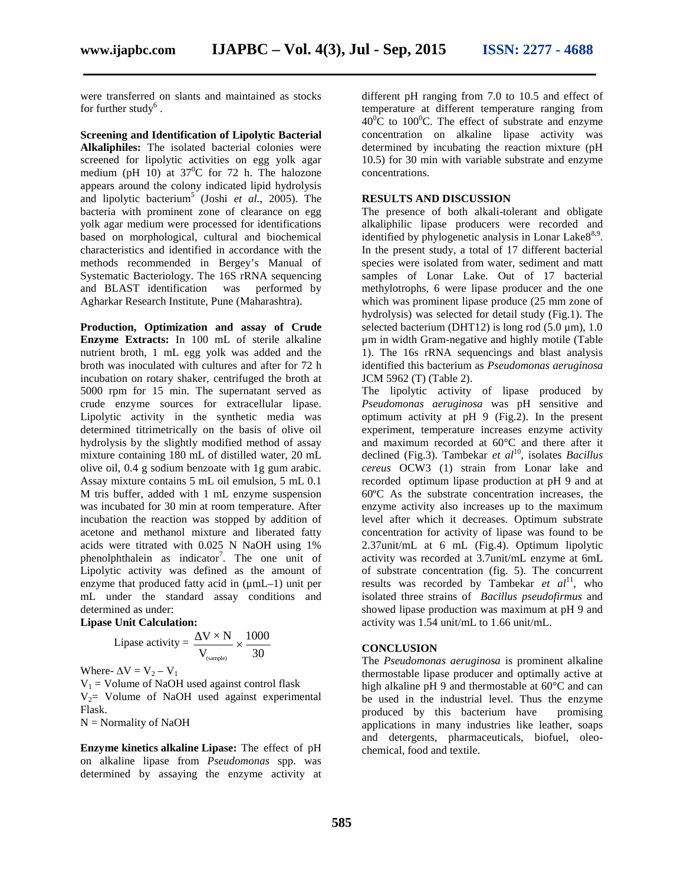were transferred on slants and maintained as stocks for further study $^6$  .

**Screening and Identification of Lipolytic Bacterial Alkaliphiles:** The isolated bacterial colonies were screened for lipolytic activities on egg yolk agar medium (pH 10) at  $37^{\circ}$ C for 72 h. The halozone appears around the colony indicated lipid hydrolysis and lipolytic bacterium<sup>5</sup> (Joshi *et al.*, 2005). The bacteria with prominent zone of clearance on egg yolk agar medium were processed for identifications based on morphological, cultural and biochemical characteristics and identified in accordance with the methods recommended in Bergey's Manual of Systematic Bacteriology. The 16S rRNA sequencing and BLAST identification was performed by Agharkar Research Institute, Pune (Maharashtra).

**Production, Optimization and assay of Crude Enzyme Extracts:** In 100 mL of sterile alkaline nutrient broth, 1 mL egg yolk was added and the broth was inoculated with cultures and after for 72 h incubation on rotary shaker, centrifuged the broth at 5000 rpm for 15 min. The supernatant served as crude enzyme sources for extracellular lipase. Lipolytic activity in the synthetic media was determined titrimetrically on the basis of olive oil hydrolysis by the slightly modified method of assay mixture containing 180 mL of distilled water, 20 mL olive oil, 0.4 g sodium benzoate with 1g gum arabic. Assay mixture contains 5 mL oil emulsion, 5 mL 0.1 M tris buffer, added with 1 mL enzyme suspension was incubated for 30 min at room temperature. After incubation the reaction was stopped by addition of acetone and methanol mixture and liberated fatty acids were titrated with 0.025 N NaOH using 1% phenolphthalein as indicator<sup>7</sup>. The one unit of Lipolytic activity was defined as the amount of enzyme that produced fatty acid in (μmL–1) unit per mL under the standard assay conditions and determined as under: **bydrolysis**) was selected for detail on the selected for detail on the offered backetium (DHT12) is loop. The selected for detail on cultures and after for 72 and the 1). The 16s rRNA sequencings g yolk was added and th **nn and assay of Crude** selected bacterium (DHT)<br>
200 mL of sterile alkaline  $\mu$ m in width Gram-regard<br>
yolk was added and the 1). The 16s rRNA seq<br>
cultures and after for 72 h identified this bacterium<br>
Fre, centrifuged

#### **Lipase Unit Calculation:**

Lipase activity = 
$$
\frac{V \times N}{V_{\text{(sample)}}} \times \frac{1000}{30}
$$

Where-  $\Delta V = V_2 - V_1$  $V_1$  = Volume of NaOH used against control flask  $V_2$ = Volume of NaOH used against experimental Flask.

 $N =$  Normality of NaOH

**Enzyme kinetics alkaline Lipase:** The effect of pH on alkaline lipase from *Pseudomonas* spp. was determined by assaying the enzyme activity at different pH ranging from 7.0 to 10.5 and effect of temperature at different temperature ranging from  $40^{\circ}$ C to 100<sup>°</sup>C. The effect of substrate and enzyme concentration on alkaline lipase activity was determined by incubating the reaction mixture (pH 10.5) for 30 min with variable substrate and enzyme concentrations.

#### **RESULTS AND DISCUSSION**

The presence of both alkali-tolerant and obligate alkaliphilic lipase producers were recorded and identified by phylogenetic analysis in Lonar Lake8<sup>8,9</sup>. In the present study, a total of 17 different bacterial species were isolated from water, sediment and matt samples of Lonar Lake. Out of 17 bacterial methylotrophs, 6 were lipase producer and the one which was prominent lipase produce (25 mm zone of hydrolysis) was selected for detail study (Fig.1). The selected bacterium (DHT12) is long rod  $(5.0 \,\mu\text{m})$ , 1.0 μm in width Gram-negative and highly motile (Table 1). The 16s rRNA sequencings and blast analysis identified this bacterium as *Pseudomonas aeruginosa* JCM 5962 (T) (Table 2).

The lipolytic activity of lipase produced by *Pseudomonas aeruginosa* was pH sensitive and optimum activity at pH 9 (Fig.2). In the present experiment, temperature increases enzyme activity and maximum recorded at 60°C and there after it declined (Fig.3). Tambekar *et al*<sup>10</sup> , isolates *Bacillus cereus* OCW3 (1) strain from Lonar lake and recorded optimum lipase production at pH 9 and at 60ºC As the substrate concentration increases, the enzyme activity also increases up to the maximum level after which it decreases. Optimum substrate concentration for activity of lipase was found to be 2.37unit/mL at 6 mL (Fig.4). Optimum lipolytic activity was recorded at 3.7unit/mL enzyme at 6mL of substrate concentration (fig. 5). The concurrent results was recorded by Tambekar *et al*<sup>11</sup>, who isolated three strains of *Bacillus pseudofirmus* and showed lipase production was maximum at pH 9 and activity was 1.54 unit/mL to 1.66 unit/mL.

### $\times \frac{1000}{30}$  **CONCLUSION**

The *Pseudomonas aeruginosa* is prominent alkaline thermostable lipase producer and optimally active at high alkaline pH 9 and thermostable at 60°C and can be used in the industrial level. Thus the enzyme produced by this bacterium have promising applications in many industries like leather, soaps and detergents, pharmaceuticals, biofuel, oleo chemical, food and textile.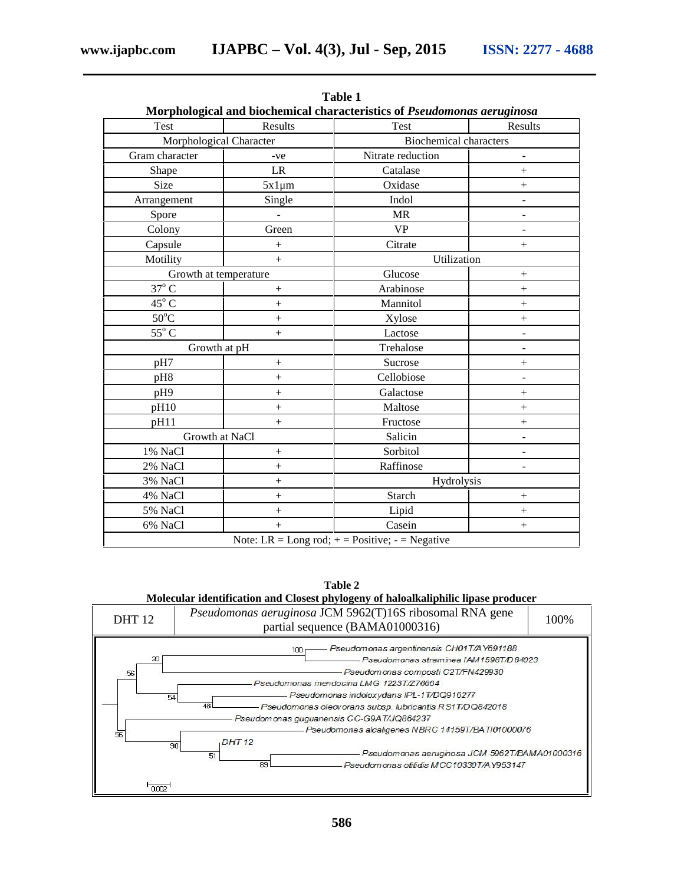| Test                    | Results          | Test                          | Results                      |
|-------------------------|------------------|-------------------------------|------------------------------|
| Morphological Character |                  | <b>Biochemical characters</b> |                              |
| Gram character          | -ve              | Nitrate reduction             | $\blacksquare$               |
| Shape                   | LR               | Catalase                      | $^{+}$                       |
| Size                    | $5x1 \mu m$      | Oxidase                       | $+$                          |
| Arrangement             | Single           | Indol                         | $\overline{a}$               |
| Spore                   |                  | <b>MR</b>                     | $\overline{\phantom{m}}$     |
| Colony                  | Green            | <b>VP</b>                     | $\overline{\phantom{a}}$     |
| Capsule                 |                  | Citrate                       | $+$                          |
| Motility                | $\boldsymbol{+}$ | Utilization                   |                              |
| Growth at temperature   |                  | Glucose                       | $+$                          |
| $37^{\circ}$ C          |                  | Arabinose                     | $^{+}$                       |
| $45^{\circ}$ C          | $^{+}$           | Mannitol                      | $^{+}$                       |
| $50^{\circ}$ C          | $\! + \!$        | Xylose                        | $^{+}$                       |
| $55^{\circ}$ C          | $^{+}$           | Lactose                       |                              |
| Growth at pH            |                  | Trehalose                     | $\overline{\phantom{m}}$     |
| pH7                     | $\! + \!$        | Sucrose                       | $^{+}$                       |
| pH8                     | $\ddot{+}$       | Cellobiose                    | $\overline{a}$               |
| pH9                     | $^{+}$           | Galactose                     | $^{+}$                       |
| pH10                    | $+$              | Maltose                       | $+$                          |
| pH11                    | $+$              | Fructose                      | $^{+}$                       |
| Growth at NaCl          |                  | Salicin                       | $\qquad \qquad \blacksquare$ |
| 1% NaCl                 | $+$              | Sorbitol                      | $\overline{a}$               |
| 2% NaCl                 | $\ddot{}$        | Raffinose                     | $\overline{\phantom{m}}$     |
| 3% NaCl                 | $^{+}$           | Hydrolysis                    |                              |
| 4% NaCl                 | $\ddot{}$        | Starch                        |                              |
| 5% NaCl                 | $^{+}$           | Lipid                         | $+$                          |
| 6% NaCl                 | $^{+}$           | Casein                        | $\! + \!$                    |

**Table 1**

**Table 2**

**Molecular identification and Closest phylogeny of haloalkaliphilic lipase producer**

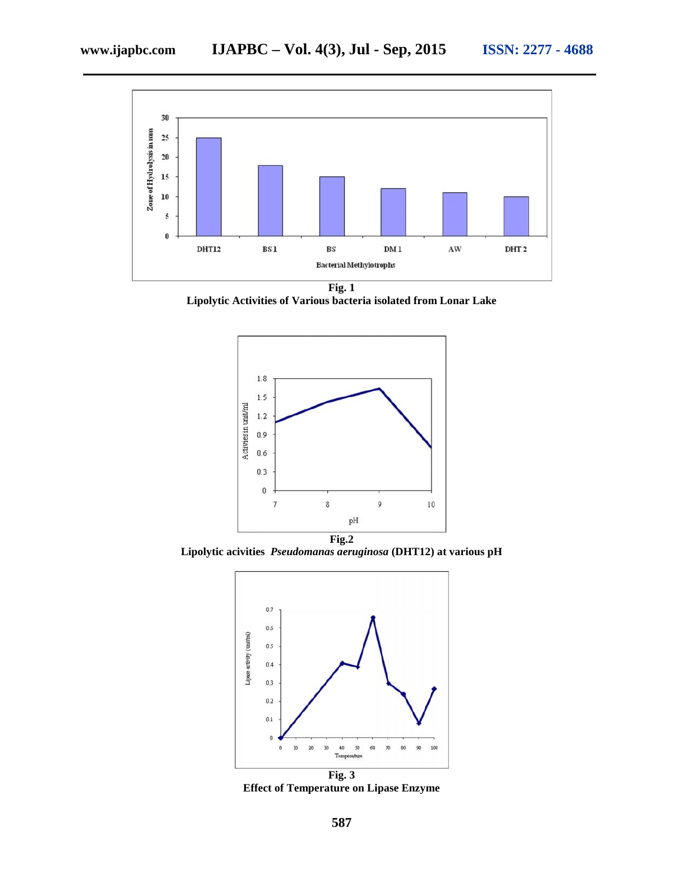

**Fig. 1 Lipolytic Activities of Various bacteria isolated from Lonar Lake**



**Lipolytic acivities** *Pseudomanas aeruginosa* **(DHT12) at various pH**



**Effect of Temperature on Lipase Enzyme**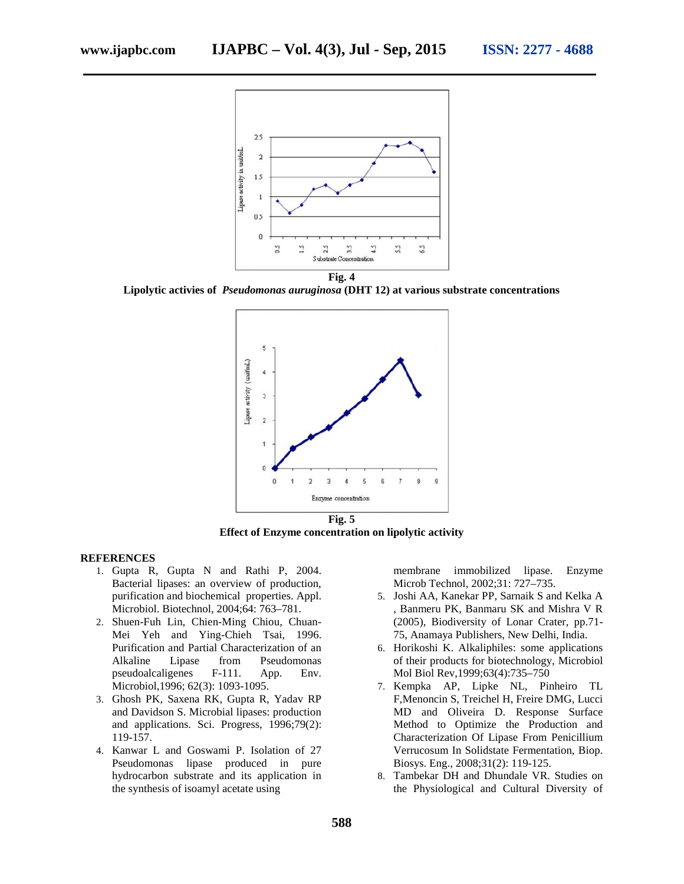

**Fig. 4**

**Lipolytic activies of** *Pseudomonas auruginosa* **(DHT 12) at various substrate concentrations**



**Effect of Enzyme concentration on lipolytic activity**

### **REFERENCES**

- 1. Gupta R, Gupta N and Rathi P, 2004. Bacterial lipases: an overview of production, purification and biochemical properties. Appl. Microbiol. Biotechnol, 2004;64: 763–781.
- 2. Shuen-Fuh Lin, Chien-Ming Chiou, Chuan- Mei Yeh and Ying-Chieh Tsai, 1996. Purification and Partial Characterization of an Alkaline Lipase from Pseudomonas pseudoalcaligenes F-111. App. Env. Microbiol,1996; 62(3): 1093-1095.
- 3. Ghosh PK, Saxena RK, Gupta R, Yadav RP and Davidson S. Microbial lipases: production and applications. Sci. Progress, 1996;79(2): 119-157.
- 4. Kanwar L and Goswami P. Isolation of 27 Pseudomonas lipase produced in pure hydrocarbon substrate and its application in the synthesis of isoamyl acetate using

membrane immobilized lipase. Enzyme Microb Technol, 2002;31: 727–735.

- 5. Joshi AA, Kanekar PP, Sarnaik S and Kelka A , Banmeru PK, Banmaru SK and Mishra V R (2005), Biodiversity of Lonar Crater, pp.71- 75, Anamaya Publishers, New Delhi, India.
- 6. Horikoshi K. Alkaliphiles: some applications of their products for biotechnology, Microbiol Mol Biol Rev,1999;63(4):735–750
- 7. Kempka AP, Lipke NL, Pinheiro TL F,Menoncin S, Treichel H, Freire DMG, Lucci MD and Oliveira D. Response Surface Method to Optimize the Production and Characterization Of Lipase From Penicillium Verrucosum In Solidstate Fermentation, Biop. Biosys. Eng., 2008;31(2): 119-125.
- 8. Tambekar DH and Dhundale VR. Studies on the Physiological and Cultural Diversity of